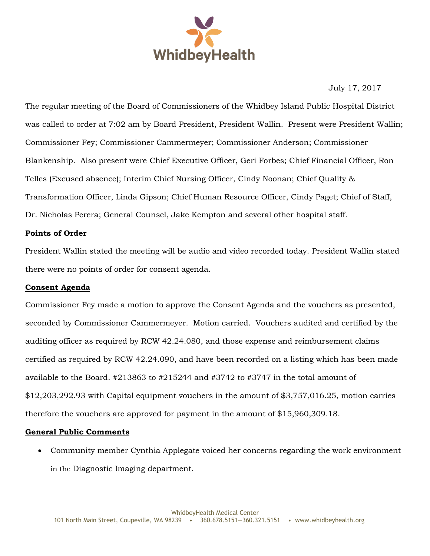

July 17, 2017

The regular meeting of the Board of Commissioners of the Whidbey Island Public Hospital District was called to order at 7:02 am by Board President, President Wallin. Present were President Wallin; Commissioner Fey; Commissioner Cammermeyer; Commissioner Anderson; Commissioner Blankenship. Also present were Chief Executive Officer, Geri Forbes; Chief Financial Officer, Ron Telles (Excused absence); Interim Chief Nursing Officer, Cindy Noonan; Chief Quality & Transformation Officer, Linda Gipson; Chief Human Resource Officer, Cindy Paget; Chief of Staff, Dr. Nicholas Perera; General Counsel, Jake Kempton and several other hospital staff.

## **Points of Order**

President Wallin stated the meeting will be audio and video recorded today. President Wallin stated there were no points of order for consent agenda.

### **Consent Agenda**

Commissioner Fey made a motion to approve the Consent Agenda and the vouchers as presented, seconded by Commissioner Cammermeyer. Motion carried. Vouchers audited and certified by the auditing officer as required by RCW 42.24.080, and those expense and reimbursement claims certified as required by RCW 42.24.090, and have been recorded on a listing which has been made available to the Board. #213863 to #215244 and #3742 to #3747 in the total amount of \$12,203,292.93 with Capital equipment vouchers in the amount of \$3,757,016.25, motion carries therefore the vouchers are approved for payment in the amount of \$15,960,309.18.

### **General Public Comments**

 Community member Cynthia Applegate voiced her concerns regarding the work environment in the Diagnostic Imaging department.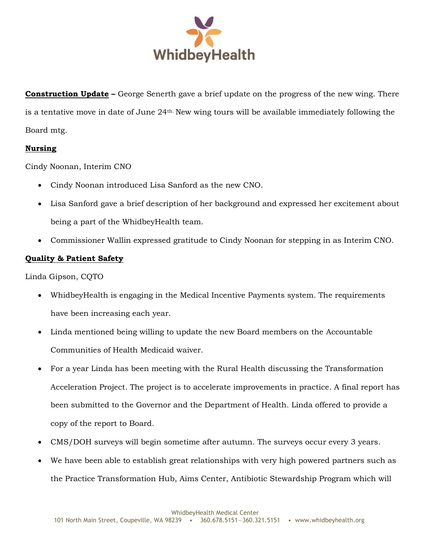

**Construction Update –** George Senerth gave a brief update on the progress of the new wing. There is a tentative move in date of June 24th. New wing tours will be available immediately following the Board mtg.

## **Nursing**

Cindy Noonan, Interim CNO

- Cindy Noonan introduced Lisa Sanford as the new CNO.
- Lisa Sanford gave a brief description of her background and expressed her excitement about being a part of the WhidbeyHealth team.
- Commissioner Wallin expressed gratitude to Cindy Noonan for stepping in as Interim CNO.

# **Quality & Patient Safety**

Linda Gipson, CQTO

- WhidbeyHealth is engaging in the Medical Incentive Payments system. The requirements have been increasing each year.
- Linda mentioned being willing to update the new Board members on the Accountable Communities of Health Medicaid waiver.
- For a year Linda has been meeting with the Rural Health discussing the Transformation Acceleration Project. The project is to accelerate improvements in practice. A final report has been submitted to the Governor and the Department of Health. Linda offered to provide a copy of the report to Board.
- CMS/DOH surveys will begin sometime after autumn. The surveys occur every 3 years.
- We have been able to establish great relationships with very high powered partners such as the Practice Transformation Hub, Aims Center, Antibiotic Stewardship Program which will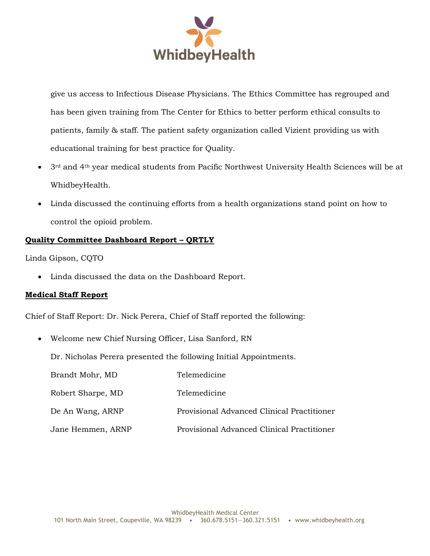

give us access to Infectious Disease Physicians. The Ethics Committee has regrouped and has been given training from The Center for Ethics to better perform ethical consults to patients, family & staff. The patient safety organization called Vizient providing us with educational training for best practice for Quality.

- 3<sup>rd</sup> and 4<sup>th</sup> year medical students from Pacific Northwest University Health Sciences will be at WhidbeyHealth.
- Linda discussed the continuing efforts from a health organizations stand point on how to control the opioid problem.

## **Quality Committee Dashboard Report – QRTLY**

Linda Gipson, CQTO

Linda discussed the data on the Dashboard Report.

### **Medical Staff Report**

Chief of Staff Report: Dr. Nick Perera, Chief of Staff reported the following:

Welcome new Chief Nursing Officer, Lisa Sanford, RN

Dr. Nicholas Perera presented the following Initial Appointments.

| Brandt Mohr, MD   | Telemedicine                               |
|-------------------|--------------------------------------------|
| Robert Sharpe, MD | Telemedicine                               |
| De An Wang, ARNP  | Provisional Advanced Clinical Practitioner |
| Jane Hemmen, ARNP | Provisional Advanced Clinical Practitioner |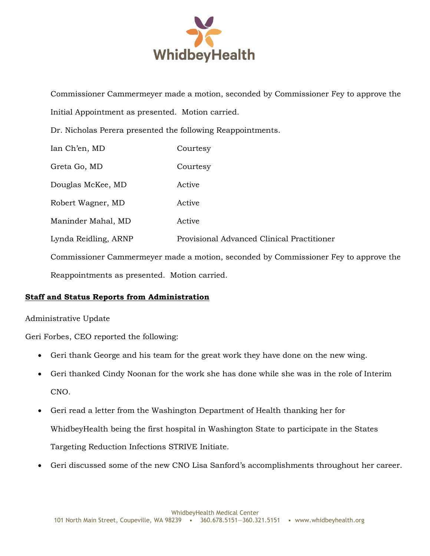

Commissioner Cammermeyer made a motion, seconded by Commissioner Fey to approve the

Initial Appointment as presented. Motion carried.

Dr. Nicholas Perera presented the following Reappointments.

Ian Ch'en, MD Courtesy Greta Go, MD Courtesy Douglas McKee, MD Active Robert Wagner, MD Active Maninder Mahal, MD Active Lynda Reidling, ARNP Provisional Advanced Clinical Practitioner Commissioner Cammermeyer made a motion, seconded by Commissioner Fey to approve the Reappointments as presented. Motion carried.

# **Staff and Status Reports from Administration**

# Administrative Update

Geri Forbes, CEO reported the following:

- Geri thank George and his team for the great work they have done on the new wing.
- Geri thanked Cindy Noonan for the work she has done while she was in the role of Interim CNO.
- Geri read a letter from the Washington Department of Health thanking her for WhidbeyHealth being the first hospital in Washington State to participate in the States Targeting Reduction Infections STRIVE Initiate.
- Geri discussed some of the new CNO Lisa Sanford's accomplishments throughout her career.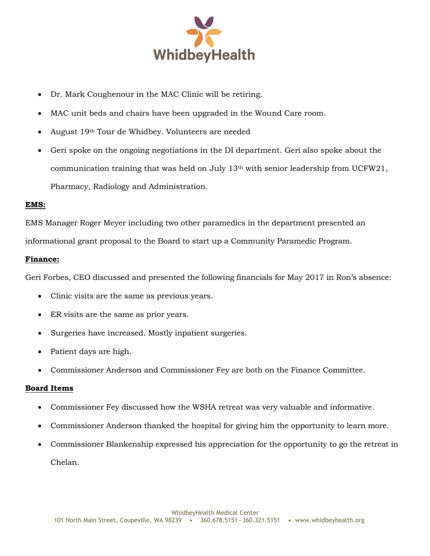

- Dr. Mark Coughenour in the MAC Clinic will be retiring.
- MAC unit beds and chairs have been upgraded in the Wound Care room.
- August 19th Tour de Whidbey. Volunteers are needed
- Geri spoke on the ongoing negotiations in the DI department. Geri also spoke about the communication training that was held on July 13th with senior leadership from UCFW21, Pharmacy, Radiology and Administration.

#### **EMS:**

EMS Manager Roger Meyer including two other paramedics in the department presented an

informational grant proposal to the Board to start up a Community Paramedic Program.

### **Finance:**

Geri Forbes, CEO discussed and presented the following financials for May 2017 in Ron's absence:

- Clinic visits are the same as previous years.
- ER visits are the same as prior years.
- Surgeries have increased. Mostly inpatient surgeries.
- Patient days are high.
- Commissioner Anderson and Commissioner Fey are both on the Finance Committee.

### **Board Items**

- Commissioner Fey discussed how the WSHA retreat was very valuable and informative.
- Commissioner Anderson thanked the hospital for giving him the opportunity to learn more.
- Commissioner Blankenship expressed his appreciation for the opportunity to go the retreat in Chelan.